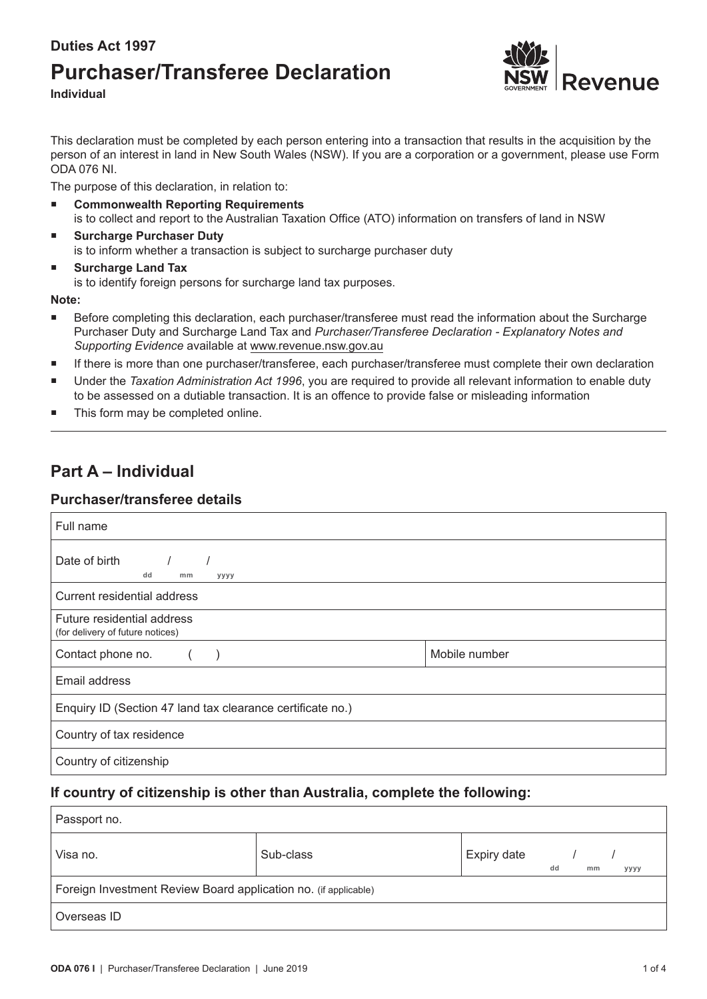## **Duties Act 1997**

# **Purchaser/Transferee Declaration**



#### **Individual**

This declaration must be completed by each person entering into a transaction that results in the acquisition by the person of an interest in land in New South Wales (NSW). If you are a corporation or a government, please use Form ODA 076 NI.

The purpose of this declaration, in relation to:

- **Commonwealth Reporting Requirements** is to collect and report to the Australian Taxation Office (ATO) information on transfers of land in NSW
- **E** Surcharge Purchaser Duty is to inform whether a transaction is subject to surcharge purchaser duty
- **Surcharge Land Tax** is to identify foreign persons for surcharge land tax purposes.

**Note:**

- **Before completing this declaration, each purchaser/transferee must read the information about the Surcharge** Purchaser Duty and Surcharge Land Tax and *Purchaser/Transferee Declaration - Explanatory Notes and Supporting Evidence* available at [www.revenue.nsw.gov.au](http://www.revenue.nsw.gov.au/taxes/spd)
- If there is more than one purchaser/transferee, each purchaser/transferee must complete their own declaration
- Under the *Taxation Administration Act 1996*, you are required to provide all relevant information to enable duty to be assessed on a dutiable transaction. It is an offence to provide false or misleading information
- This form may be completed online.

## **Part A – Individual**

### **Purchaser/transferee details**

| Full name                                                      |  |  |  |  |
|----------------------------------------------------------------|--|--|--|--|
| Date of birth<br>dd<br>mm<br>уууу                              |  |  |  |  |
| Current residential address                                    |  |  |  |  |
| Future residential address<br>(for delivery of future notices) |  |  |  |  |
| Mobile number<br>Contact phone no.                             |  |  |  |  |
| Email address                                                  |  |  |  |  |
| Enquiry ID (Section 47 land tax clearance certificate no.)     |  |  |  |  |
| Country of tax residence                                       |  |  |  |  |
| Country of citizenship                                         |  |  |  |  |

## **If country of citizenship is other than Australia, complete the following:**

| Passport no.                                                    |           |             |                  |  |
|-----------------------------------------------------------------|-----------|-------------|------------------|--|
| Visa no.                                                        | Sub-class | Expiry date | dd<br>mm<br>уууу |  |
| Foreign Investment Review Board application no. (if applicable) |           |             |                  |  |
| Overseas ID                                                     |           |             |                  |  |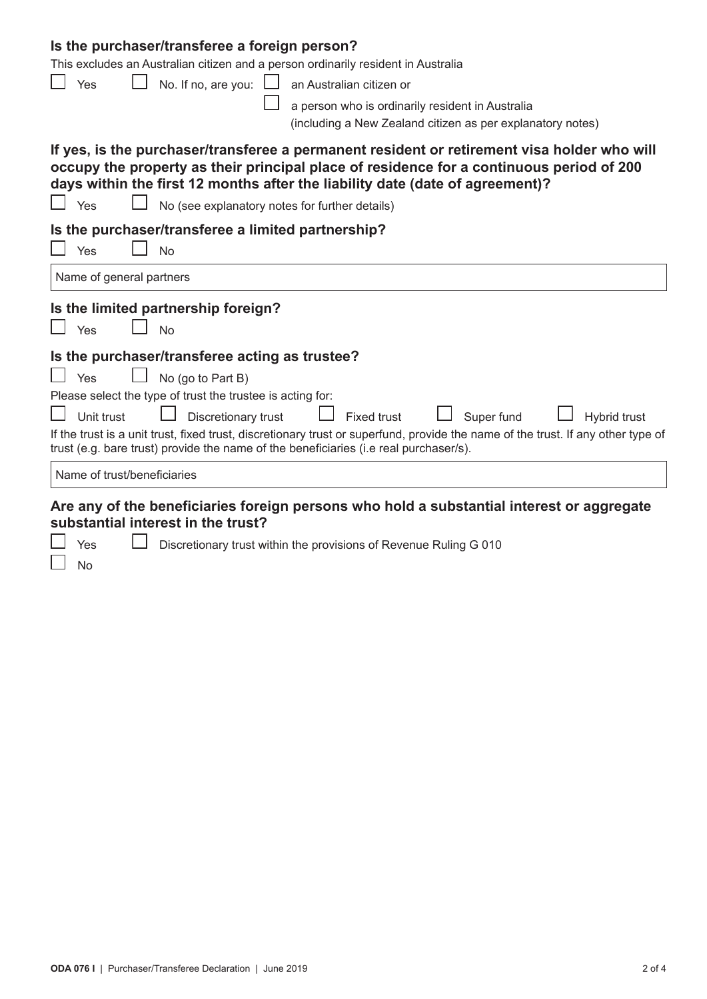| Is the purchaser/transferee a foreign person?                                                                                                                                                                                                                            |  |  |  |  |  |
|--------------------------------------------------------------------------------------------------------------------------------------------------------------------------------------------------------------------------------------------------------------------------|--|--|--|--|--|
| This excludes an Australian citizen and a person ordinarily resident in Australia                                                                                                                                                                                        |  |  |  |  |  |
| Yes<br>No. If no, are you:<br>an Australian citizen or                                                                                                                                                                                                                   |  |  |  |  |  |
| a person who is ordinarily resident in Australia                                                                                                                                                                                                                         |  |  |  |  |  |
| (including a New Zealand citizen as per explanatory notes)                                                                                                                                                                                                               |  |  |  |  |  |
| If yes, is the purchaser/transferee a permanent resident or retirement visa holder who will<br>occupy the property as their principal place of residence for a continuous period of 200<br>days within the first 12 months after the liability date (date of agreement)? |  |  |  |  |  |
| No (see explanatory notes for further details)<br>Yes                                                                                                                                                                                                                    |  |  |  |  |  |
| Is the purchaser/transferee a limited partnership?                                                                                                                                                                                                                       |  |  |  |  |  |
| Yes<br><b>No</b>                                                                                                                                                                                                                                                         |  |  |  |  |  |
| Name of general partners                                                                                                                                                                                                                                                 |  |  |  |  |  |
| Is the limited partnership foreign?                                                                                                                                                                                                                                      |  |  |  |  |  |
| Yes<br><b>No</b>                                                                                                                                                                                                                                                         |  |  |  |  |  |
| Is the purchaser/transferee acting as trustee?                                                                                                                                                                                                                           |  |  |  |  |  |
| Yes<br>No (go to Part B)                                                                                                                                                                                                                                                 |  |  |  |  |  |
| Please select the type of trust the trustee is acting for:                                                                                                                                                                                                               |  |  |  |  |  |
| Unit trust<br>Discretionary trust<br><b>Fixed trust</b><br>Super fund<br>Hybrid trust                                                                                                                                                                                    |  |  |  |  |  |
| If the trust is a unit trust, fixed trust, discretionary trust or superfund, provide the name of the trust. If any other type of<br>trust (e.g. bare trust) provide the name of the beneficiaries (i.e real purchaser/s).                                                |  |  |  |  |  |
| Name of trust/beneficiaries                                                                                                                                                                                                                                              |  |  |  |  |  |
| Are any of the beneficiaries foreign persons who hold a substantial interest or aggregate<br>substantial interest in the trust?                                                                                                                                          |  |  |  |  |  |
| Discretionary trust within the provisions of Revenue Ruling G 010<br>Yes                                                                                                                                                                                                 |  |  |  |  |  |
| <b>No</b>                                                                                                                                                                                                                                                                |  |  |  |  |  |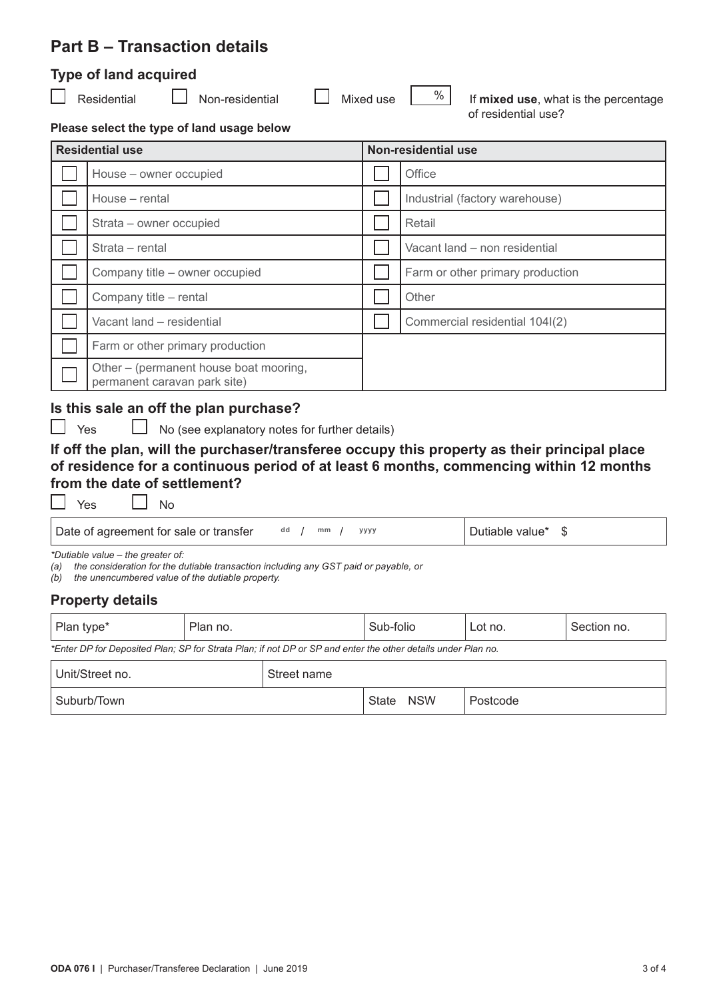## **Part B – Transaction details**

### **Type of land acquired**

%

Residential  $\Box$  Non-residential  $\Box$  Mixed use  $\Box$  fi**mixed use**, what is the percentage of residential use?

#### **Please select the type of land usage below**

| <b>Residential use</b> |                                                                        | Non-residential use |                                  |  |
|------------------------|------------------------------------------------------------------------|---------------------|----------------------------------|--|
|                        | House – owner occupied                                                 |                     | Office                           |  |
|                        | House – rental                                                         |                     | Industrial (factory warehouse)   |  |
|                        | Strata – owner occupied                                                |                     | Retail                           |  |
|                        | Strata – rental                                                        |                     | Vacant land - non residential    |  |
|                        | Company title - owner occupied                                         |                     | Farm or other primary production |  |
|                        | Company title - rental                                                 |                     | Other                            |  |
|                        | Vacant land - residential                                              |                     | Commercial residential 104I(2)   |  |
|                        | Farm or other primary production                                       |                     |                                  |  |
|                        | Other – (permanent house boat mooring,<br>permanent caravan park site) |                     |                                  |  |

## **Is this sale an off the plan purchase?**

 $\Box$  Yes  $\Box$  No (see explanatory notes for further details)

## **If off the plan, will the purchaser/transferee occupy this property as their principal place of residence for a continuous period of at least 6 months, commencing within 12 months from the date of settlement?**

Yes  $\Box$  No

Date of agreement for sale or transfer  $\frac{d}{dx}$  / mm / yyyy | Dutiable value\* \$ **dd mm yyyy**

*\*Dutiable value – the greater of:*

*(a) the consideration for the dutiable transaction including any GST paid or payable, or*

*(b) the unencumbered value of the dutiable property.*

### **Property details**

| Plan type*                                                                                                   | Plan no. |  |           |  | Sub-folio |  | Lot no. | Section no. |
|--------------------------------------------------------------------------------------------------------------|----------|--|-----------|--|-----------|--|---------|-------------|
| *Enter DP for Deposited Plan; SP for Strata Plan; if not DP or SP and enter the other details under Plan no. |          |  |           |  |           |  |         |             |
| Unit/Street no.<br>Street name                                                                               |          |  |           |  |           |  |         |             |
| Suburb/Town                                                                                                  |          |  | State NSW |  | Postcode  |  |         |             |